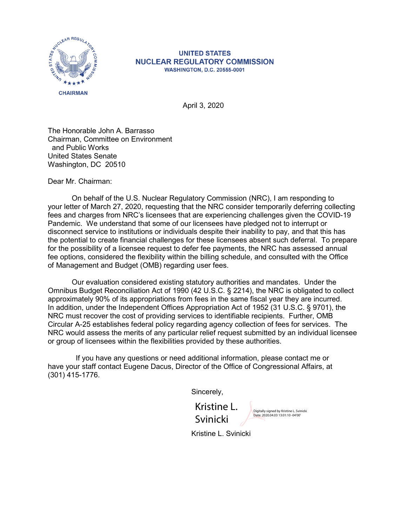

## **UNITED STATES NUCLEAR REGULATORY COMMISSION WASHINGTON, D.C. 20555-0001**

April 3, 2020

The Honorable John A. Barrasso Chairman, Committee on Environment and Public Works United States Senate Washington, DC 20510

Dear Mr. Chairman:

On behalf of the U.S. Nuclear Regulatory Commission (NRC), I am responding to your letter of March 27, 2020, requesting that the NRC consider temporarily deferring collecting fees and charges from NRC's licensees that are experiencing challenges given the COVID-19 Pandemic. We understand that some of our licensees have pledged not to interrupt or disconnect service to institutions or individuals despite their inability to pay, and that this has the potential to create financial challenges for these licensees absent such deferral. To prepare for the possibility of a licensee request to defer fee payments, the NRC has assessed annual fee options, considered the flexibility within the billing schedule, and consulted with the Office of Management and Budget (OMB) regarding user fees.

Our evaluation considered existing statutory authorities and mandates. Under the Omnibus Budget Reconciliation Act of 1990 (42 U.S.C. § 2214), the NRC is obligated to collect approximately 90% of its appropriations from fees in the same fiscal year they are incurred. In addition, under the Independent Offices Appropriation Act of 1952 (31 U.S.C. § 9701), the NRC must recover the cost of providing services to identifiable recipients. Further, OMB Circular A-25 establishes federal policy regarding agency collection of fees for services. The NRC would assess the merits of any particular relief request submitted by an individual licensee or group of licensees within the flexibilities provided by these authorities.

 If you have any questions or need additional information, please contact me or have your staff contact Eugene Dacus, Director of the Office of Congressional Affairs, at (301) 415-1776.

Sincerely,

Kristine L. Svinicki

Digitally signed by Kristine L. Svinicki Date: 2020.04.03 13:01:10 -04'00'

Kristine L. Svinicki